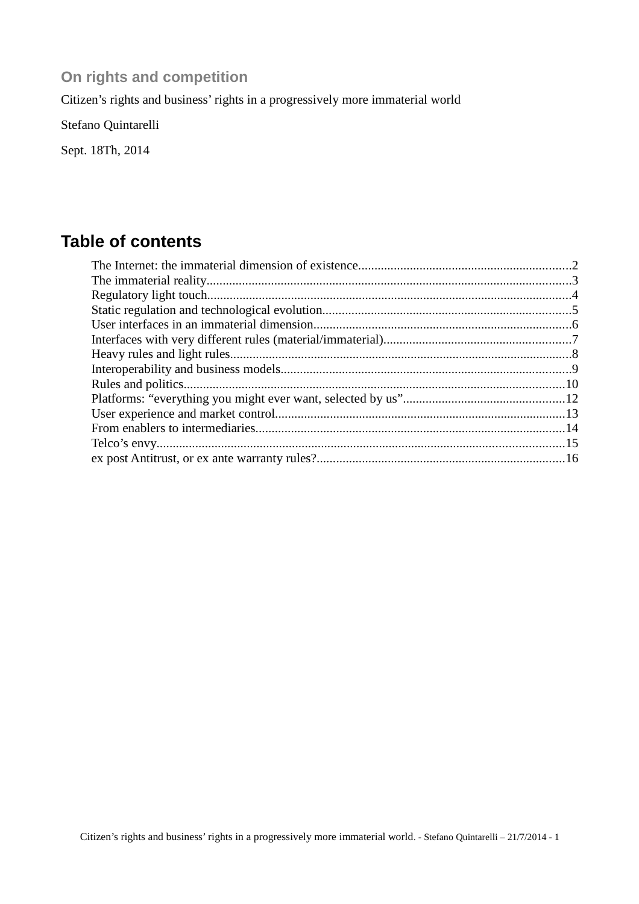### On rights and competition

Citizen's rights and business' rights in a progressively more immaterial world

Stefano Quintarelli

Sept. 18Th, 2014

# Table of contents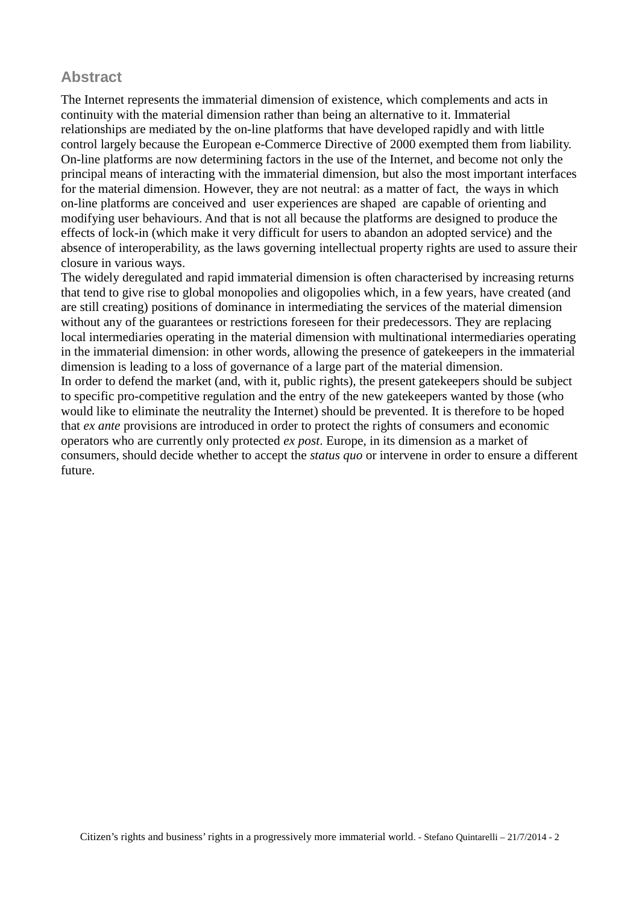#### Abstract

The Internet represents the immaterial dimension of existence, which complements and acts in continuity with the material dimension rather than being an alternative to it. Immaterial relationships are mediated by the on-line platforms that have developed rapidly and with little control largely because the European e-Commerce Directive of 2000 exempted them from liability. On-line platforms are now determining factors in the use of the Internet, and become not only the principal means of interacting with the immaterial dimension, but also the most important interfaces for the material dimension. However, they are not neutral: as a matter of fact, the ways in which on-line platforms are conceived and user experiences are shaped are capable of orienting and modifying user behaviours. And that is not all because the platforms are designed to produce the effects of lock-in (which make it very difficult for users to abandon an adopted service) and the absence of interoperability, as the laws governing intellectual property rights are used to assure their closure in various ways.

The widely deregulated and rapid immaterial dimension is often characterised by increasing returns that tend to give rise to global monopolies and oligopolies which, in a few years, have created (and are still creating) positions of dominance in intermediating the services of the material dimension without any of the guarantees or restrictions foreseen for their predecessors. They are replacing local intermediaries operating in the material dimension with multinational intermediaries operating in the immaterial dimension: in other words, allowing the presence of gatekeepers in the immaterial dimension is leading to a loss of governance of a large part of the material dimension. In order to defend the market (and, with it, public rights), the present gatekeepers should be subject to specific pro-competitive regulation and the entry of the new gatekeepers wanted by those (who would like to eliminate the neutrality the Internet) should be prevented. It is therefore to be hoped that ex ante provisions are introduced in order to protect the rights of consumers and economic operators who are currently only protected ex post. Europe, in its dimension as a market of consumers, should decide whether to accept the status quo or intervene in order to ensure a different future.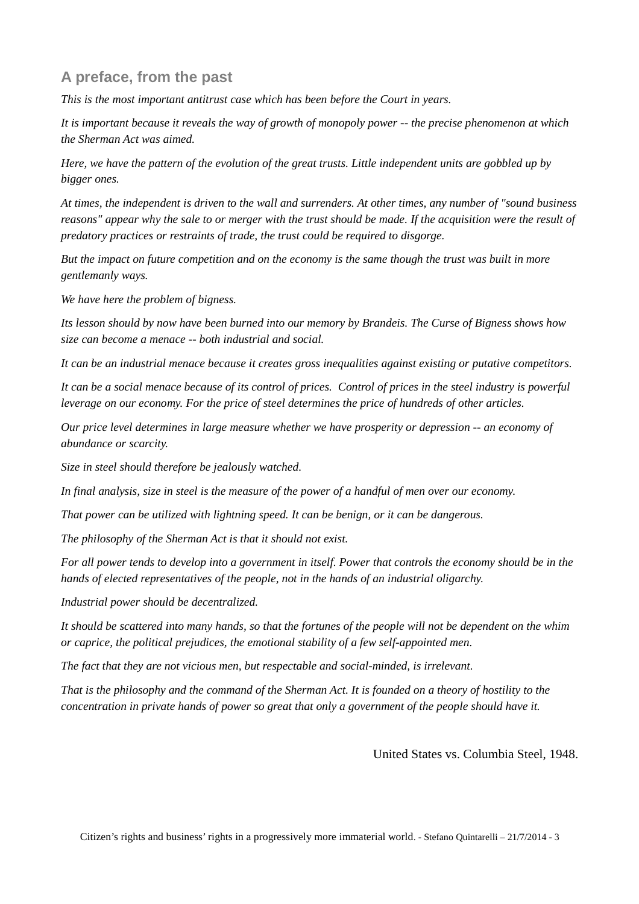### A preface, from the past

This is the most important antitrust case which has been before the Court in years.

It is important because it reveals the way of growth of monopoly power -- the precise phenomenon at which the Sherman Act was aimed.

Here, we have the pattern of the evolution of the great trusts. Little independent units are gobbled up by bigger ones.

At times, the independent is driven to the wall and surrenders. At other times, any number of "sound business reasons" appear why the sale to or merger with the trust should be made. If the acquisition were the result of predatory practices or restraints of trade, the trust could be required to disgorge.

But the impact on future competition and on the economy is the same though the trust was built in more gentlemanly ways.

We have here the problem of bigness.

Its lesson should by now have been burned into our memory by Brandeis. The Curse of Bigness shows how size can become a menace -- both industrial and social.

It can be an industrial menace because it creates gross inequalities against existing or putative competitors.

It can be a social menace because of its control of prices. Control of prices in the steel industry is powerful leverage on our economy. For the price of steel determines the price of hundreds of other articles.

Our price level determines in large measure whether we have prosperity or depression -- an economy of abundance or scarcity.

Size in steel should therefore be jealously watched.

In final analysis, size in steel is the measure of the power of a handful of men over our economy.

That power can be utilized with lightning speed. It can be benign, or it can be dangerous.

The philosophy of the Sherman Act is that it should not exist.

For all power tends to develop into a government in itself. Power that controls the economy should be in the hands of elected representatives of the people, not in the hands of an industrial oligarchy.

Industrial power should be decentralized.

It should be scattered into many hands, so that the fortunes of the people will not be dependent on the whim or caprice, the political prejudices, the emotional stability of a few self-appointed men.

The fact that they are not vicious men, but respectable and social-minded, is irrelevant.

That is the philosophy and the command of the Sherman Act. It is founded on a theory of hostility to the concentration in private hands of power so great that only a government of the people should have it.

United States vs. Columbia Steel, 1948.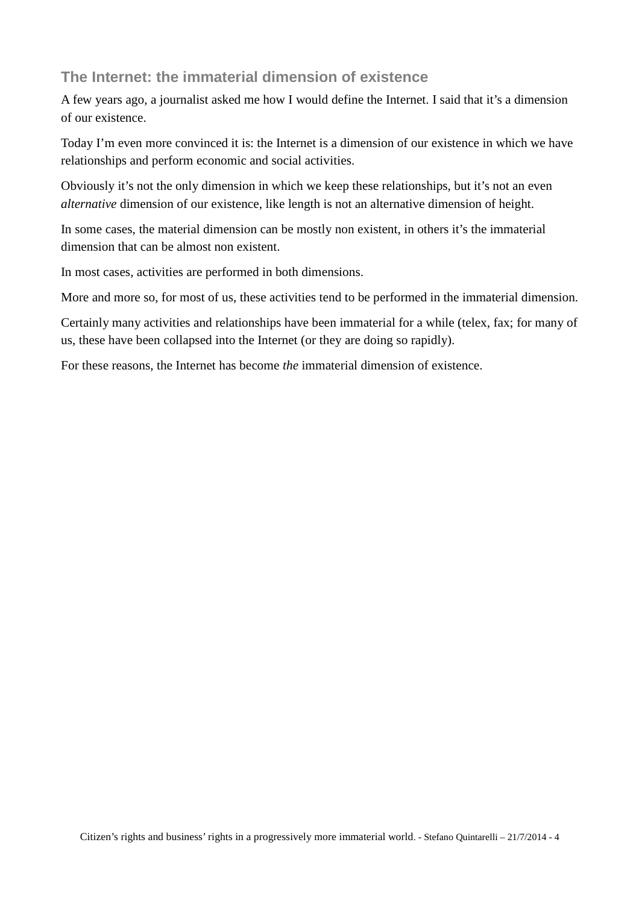### The Internet: the immaterial dimension of existence

A few years ago, a journalist asked me how I would define the Internet. I said that it's a dimension of our existence.

Today I'm even more convinced it is: the Internet is a dimension of our existence in which we have relationships and perform economic and social activities.

Obviously it's not the only dimension in which we keep these relationships, but it's not an even alternative dimension of our existence, like length is not an alternative dimension of height.

In some cases, the material dimension can be mostly non existent, in others it's the immaterial dimension that can be almost non existent.

In most cases, activities are performed in both dimensions.

More and more so, for most of us, these activities tend to be performed in the immaterial dimension.

Certainly many activities and relationships have been immaterial for a while (telex, fax; for many of us, these have been collapsed into the Internet (or they are doing so rapidly).

For these reasons, the Internet has become the immaterial dimension of existence.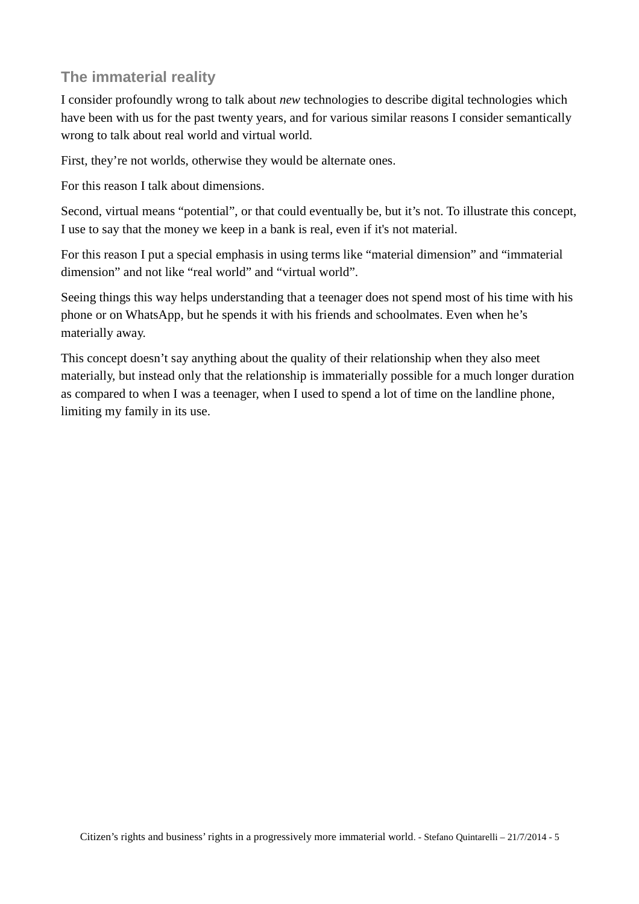### The immaterial reality

I consider profoundly wrong to talk about new technologies to describe digital technologies which have been with us for the past twenty years, and for various similar reasons I consider semantically wrong to talk about real world and virtual world.

First, they're not worlds, otherwise they would be alternate ones.

For this reason I talk about dimensions.

Second, virtual means "potential", or that could eventually be, but it's not. To illustrate this concept, I use to say that the money we keep in a bank is real, even if it's not material.

For this reason I put a special emphasis in using terms like "material dimension" and "immaterial dimension" and not like "real world" and "virtual world".

Seeing things this way helps understanding that a teenager does not spend most of his time with his phone or on WhatsApp, but he spends it with his friends and schoolmates. Even when he's materially away.

This concept doesn't say anything about the quality of their relationship when they also meet materially, but instead only that the relationship is immaterially possible for a much longer duration as compared to when I was a teenager, when I used to spend a lot of time on the landline phone, limiting my family in its use.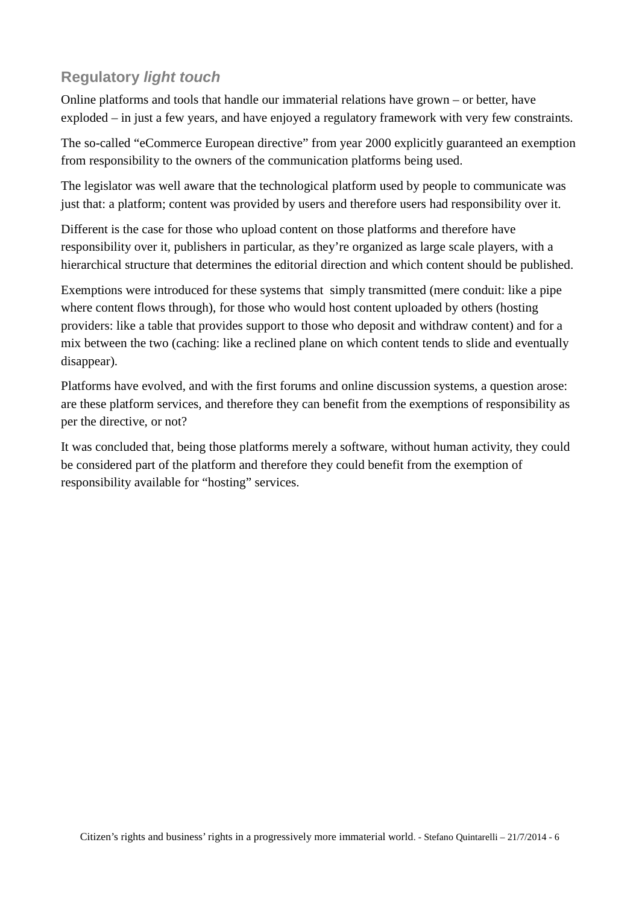## Regulatory light touch

Online platforms and tools that handle our immaterial relations have grown – or better, have exploded – in just a few years, and have enjoyed a regulatory framework with very few constraints.

The so-called "eCommerce European directive" from year 2000 explicitly guaranteed an exemption from responsibility to the owners of the communication platforms being used.

The legislator was well aware that the technological platform used by people to communicate was just that: a platform; content was provided by users and therefore users had responsibility over it.

Different is the case for those who upload content on those platforms and therefore have responsibility over it, publishers in particular, as they're organized as large scale players, with a hierarchical structure that determines the editorial direction and which content should be published.

Exemptions were introduced for these systems that simply transmitted (mere conduit: like a pipe where content flows through), for those who would host content uploaded by others (hosting providers: like a table that provides support to those who deposit and withdraw content) and for a mix between the two (caching: like a reclined plane on which content tends to slide and eventually disappear).

Platforms have evolved, and with the first forums and online discussion systems, a question arose: are these platform services, and therefore they can benefit from the exemptions of responsibility as per the directive, or not?

It was concluded that, being those platforms merely a software, without human activity, they could be considered part of the platform and therefore they could benefit from the exemption of responsibility available for "hosting" services.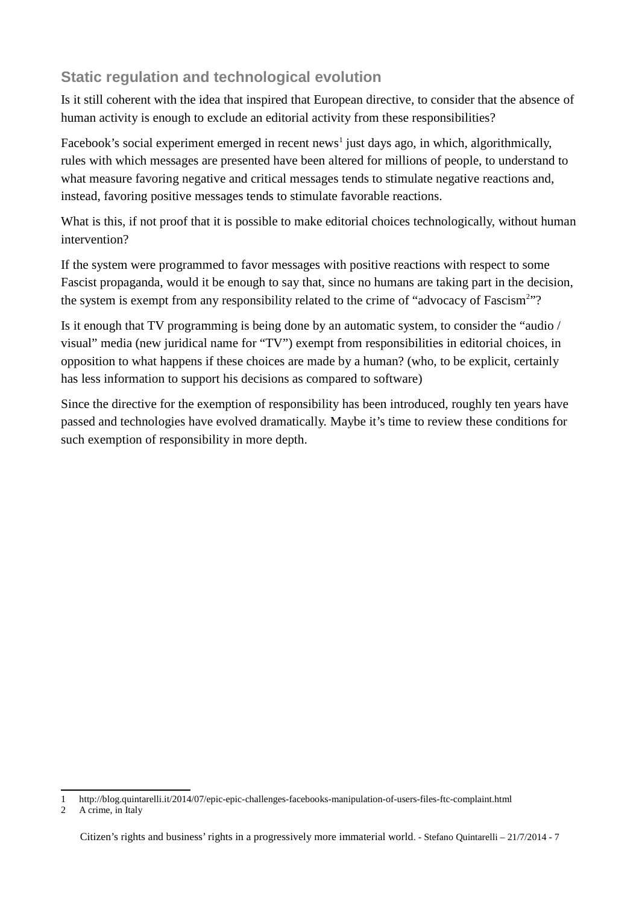# Static regulation and technological evolution

Is it still coherent with the idea that inspired that European directive, to consider that the absence of human activity is enough to exclude an editorial activity from these responsibilities?

Facebook's social experiment emerged in recent news<sup>1</sup> just days ago, in which, algorithmically, rules with which messages are presented have been altered for millions of people, to understand to what measure favoring negative and critical messages tends to stimulate negative reactions and, instead, favoring positive messages tends to stimulate favorable reactions.

What is this, if not proof that it is possible to make editorial choices technologically, without human intervention?

If the system were programmed to favor messages with positive reactions with respect to some Fascist propaganda, would it be enough to say that, since no humans are taking part in the decision, the system is exempt from any responsibility related to the crime of "advocacy of Fascism<sup>2</sup>"?

Is it enough that TV programming is being done by an automatic system, to consider the "audio / visual" media (new juridical name for "TV") exempt from responsibilities in editorial choices, in opposition to what happens if these choices are made by a human? (who, to be explicit, certainly has less information to support his decisions as compared to software)

Since the directive for the exemption of responsibility has been introduced, roughly ten years have passed and technologies have evolved dramatically. Maybe it's time to review these conditions for such exemption of responsibility in more depth.

<sup>1</sup> http://blog.quintarelli.it/2014/07/epic-epic-challenges-facebooks-manipulation-of-users-files-ftc-complaint.html

<sup>2</sup> A crime, in Italy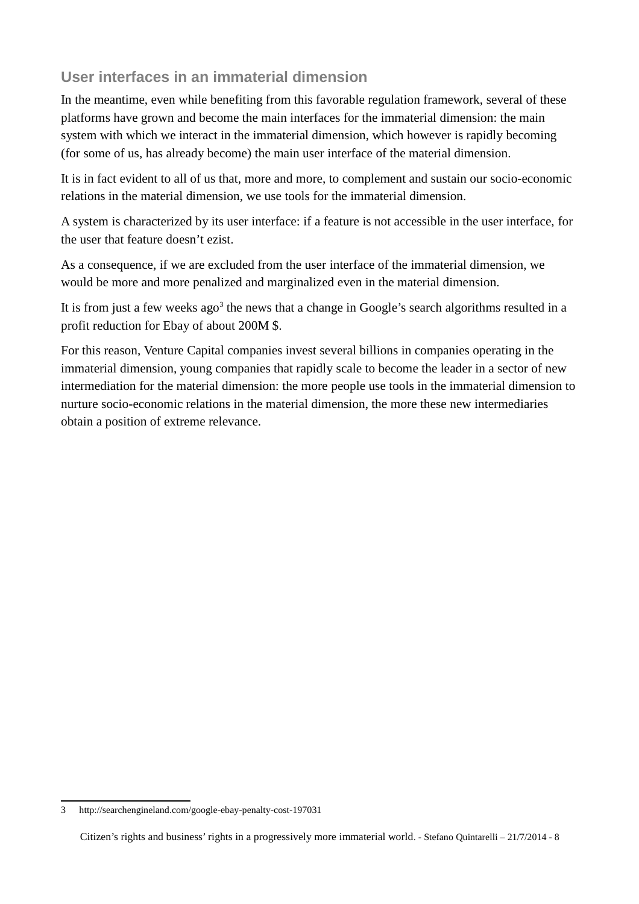# User interfaces in an immaterial dimension

In the meantime, even while benefiting from this favorable regulation framework, several of these platforms have grown and become the main interfaces for the immaterial dimension: the main system with which we interact in the immaterial dimension, which however is rapidly becoming (for some of us, has already become) the main user interface of the material dimension.

It is in fact evident to all of us that, more and more, to complement and sustain our socio-economic relations in the material dimension, we use tools for the immaterial dimension.

A system is characterized by its user interface: if a feature is not accessible in the user interface, for the user that feature doesn't ezist.

As a consequence, if we are excluded from the user interface of the immaterial dimension, we would be more and more penalized and marginalized even in the material dimension.

It is from just a few weeks ago<sup>3</sup> the news that a change in Google's search algorithms resulted in a profit reduction for Ebay of about 200M \$.

For this reason, Venture Capital companies invest several billions in companies operating in the immaterial dimension, young companies that rapidly scale to become the leader in a sector of new intermediation for the material dimension: the more people use tools in the immaterial dimension to nurture socio-economic relations in the material dimension, the more these new intermediaries obtain a position of extreme relevance.

<sup>3</sup> http://searchengineland.com/google-ebay-penalty-cost-197031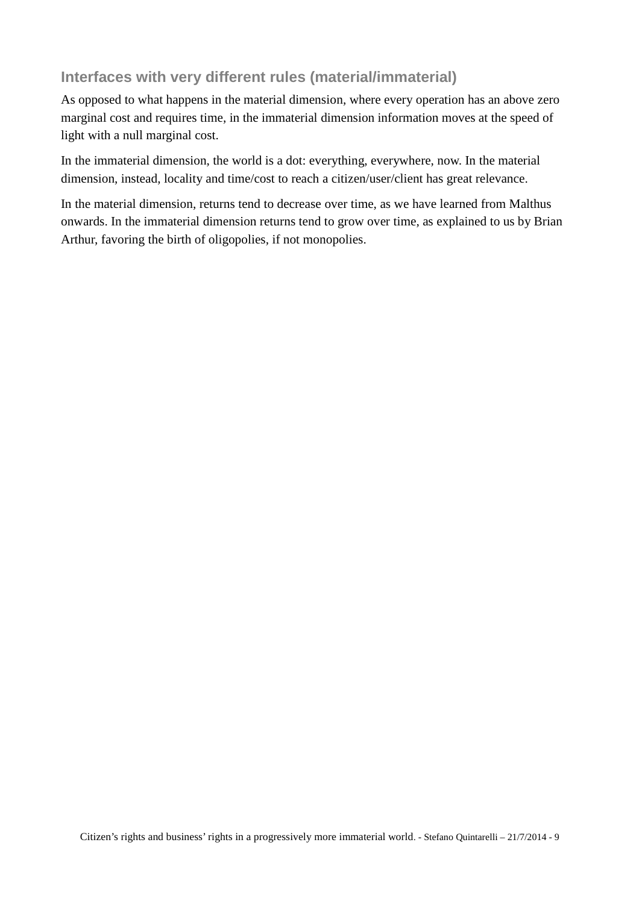# Interfaces with very different rules (material/immaterial)

As opposed to what happens in the material dimension, where every operation has an above zero marginal cost and requires time, in the immaterial dimension information moves at the speed of light with a null marginal cost.

In the immaterial dimension, the world is a dot: everything, everywhere, now. In the material dimension, instead, locality and time/cost to reach a citizen/user/client has great relevance.

In the material dimension, returns tend to decrease over time, as we have learned from Malthus onwards. In the immaterial dimension returns tend to grow over time, as explained to us by Brian Arthur, favoring the birth of oligopolies, if not monopolies.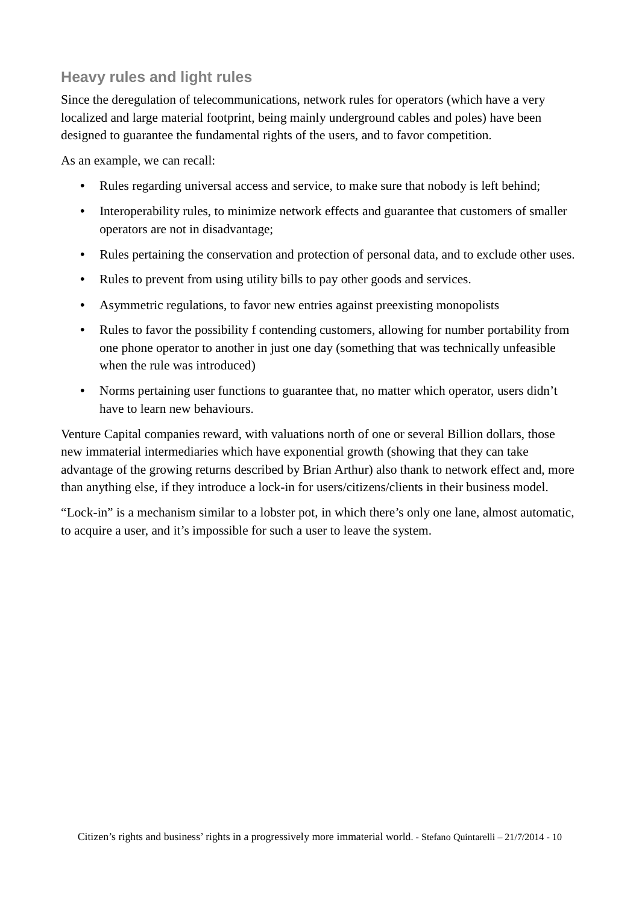### Heavy rules and light rules

Since the deregulation of telecommunications, network rules for operators (which have a very localized and large material footprint, being mainly underground cables and poles) have been designed to guarantee the fundamental rights of the users, and to favor competition.

As an example, we can recall:

- Rules regarding universal access and service, to make sure that nobody is left behind;
- Interoperability rules, to minimize network effects and guarantee that customers of smaller operators are not in disadvantage;
- Rules pertaining the conservation and protection of personal data, and to exclude other uses.
- Rules to prevent from using utility bills to pay other goods and services.
- Asymmetric regulations, to favor new entries against preexisting monopolists
- Rules to favor the possibility f contending customers, allowing for number portability from one phone operator to another in just one day (something that was technically unfeasible when the rule was introduced)
- Norms pertaining user functions to guarantee that, no matter which operator, users didn't have to learn new behaviours.

Venture Capital companies reward, with valuations north of one or several Billion dollars, those new immaterial intermediaries which have exponential growth (showing that they can take advantage of the growing returns described by Brian Arthur) also thank to network effect and, more than anything else, if they introduce a lock-in for users/citizens/clients in their business model.

"Lock-in" is a mechanism similar to a lobster pot, in which there's only one lane, almost automatic, to acquire a user, and it's impossible for such a user to leave the system.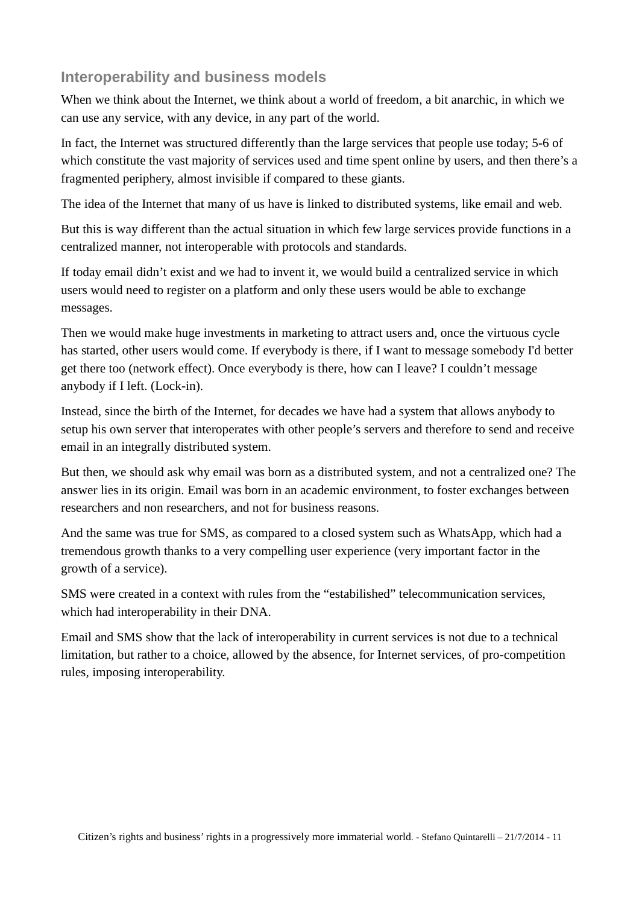### Interoperability and business models

When we think about the Internet, we think about a world of freedom, a bit anarchic, in which we can use any service, with any device, in any part of the world.

In fact, the Internet was structured differently than the large services that people use today; 5-6 of which constitute the vast majority of services used and time spent online by users, and then there's a fragmented periphery, almost invisible if compared to these giants.

The idea of the Internet that many of us have is linked to distributed systems, like email and web.

But this is way different than the actual situation in which few large services provide functions in a centralized manner, not interoperable with protocols and standards.

If today email didn't exist and we had to invent it, we would build a centralized service in which users would need to register on a platform and only these users would be able to exchange messages.

Then we would make huge investments in marketing to attract users and, once the virtuous cycle has started, other users would come. If everybody is there, if I want to message somebody I'd better get there too (network effect). Once everybody is there, how can I leave? I couldn't message anybody if I left. (Lock-in).

Instead, since the birth of the Internet, for decades we have had a system that allows anybody to setup his own server that interoperates with other people's servers and therefore to send and receive email in an integrally distributed system.

But then, we should ask why email was born as a distributed system, and not a centralized one? The answer lies in its origin. Email was born in an academic environment, to foster exchanges between researchers and non researchers, and not for business reasons.

And the same was true for SMS, as compared to a closed system such as WhatsApp, which had a tremendous growth thanks to a very compelling user experience (very important factor in the growth of a service).

SMS were created in a context with rules from the "estabilished" telecommunication services, which had interoperability in their DNA.

Email and SMS show that the lack of interoperability in current services is not due to a technical limitation, but rather to a choice, allowed by the absence, for Internet services, of pro-competition rules, imposing interoperability.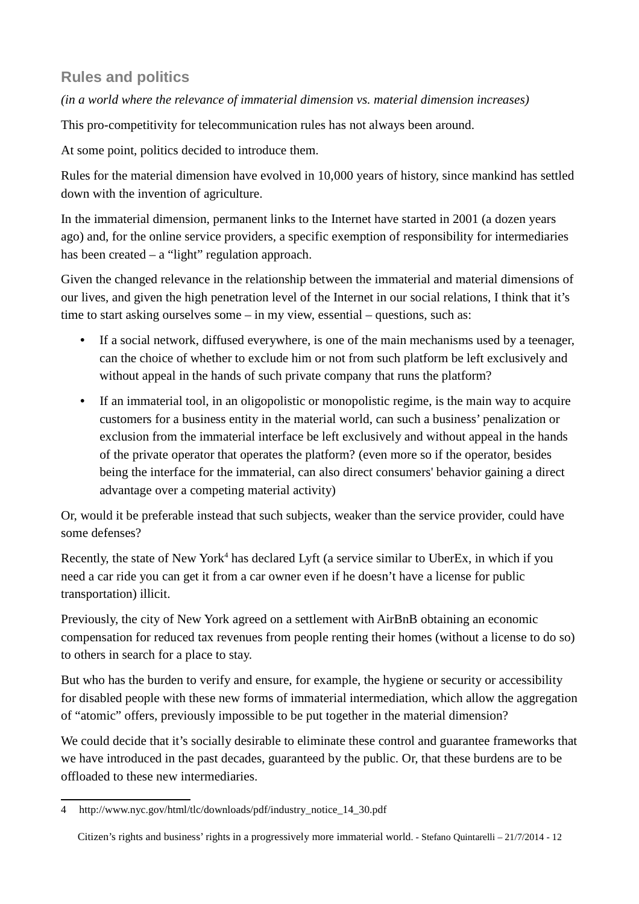## Rules and politics

(in a world where the relevance of immaterial dimension vs. material dimension increases)

This pro-competitivity for telecommunication rules has not always been around.

At some point, politics decided to introduce them.

Rules for the material dimension have evolved in 10,000 years of history, since mankind has settled down with the invention of agriculture.

In the immaterial dimension, permanent links to the Internet have started in 2001 (a dozen years ago) and, for the online service providers, a specific exemption of responsibility for intermediaries has been created – a "light" regulation approach.

Given the changed relevance in the relationship between the immaterial and material dimensions of our lives, and given the high penetration level of the Internet in our social relations, I think that it's time to start asking ourselves some – in my view, essential – questions, such as:

- If a social network, diffused everywhere, is one of the main mechanisms used by a teenager, can the choice of whether to exclude him or not from such platform be left exclusively and without appeal in the hands of such private company that runs the platform?
- If an immaterial tool, in an oligopolistic or monopolistic regime, is the main way to acquire customers for a business entity in the material world, can such a business' penalization or exclusion from the immaterial interface be left exclusively and without appeal in the hands of the private operator that operates the platform? (even more so if the operator, besides being the interface for the immaterial, can also direct consumers' behavior gaining a direct advantage over a competing material activity)

Or, would it be preferable instead that such subjects, weaker than the service provider, could have some defenses?

Recently, the state of New York<sup>4</sup> has declared Lyft (a service similar to UberEx, in which if you need a car ride you can get it from a car owner even if he doesn't have a license for public transportation) illicit.

Previously, the city of New York agreed on a settlement with AirBnB obtaining an economic compensation for reduced tax revenues from people renting their homes (without a license to do so) to others in search for a place to stay.

But who has the burden to verify and ensure, for example, the hygiene or security or accessibility for disabled people with these new forms of immaterial intermediation, which allow the aggregation of "atomic" offers, previously impossible to be put together in the material dimension?

We could decide that it's socially desirable to eliminate these control and guarantee frameworks that we have introduced in the past decades, guaranteed by the public. Or, that these burdens are to be offloaded to these new intermediaries.

<sup>4</sup> http://www.nyc.gov/html/tlc/downloads/pdf/industry\_notice\_14\_30.pdf

Citizen's rights and business' rights in a progressively more immaterial world. - Stefano Quintarelli – 21/7/2014 - 12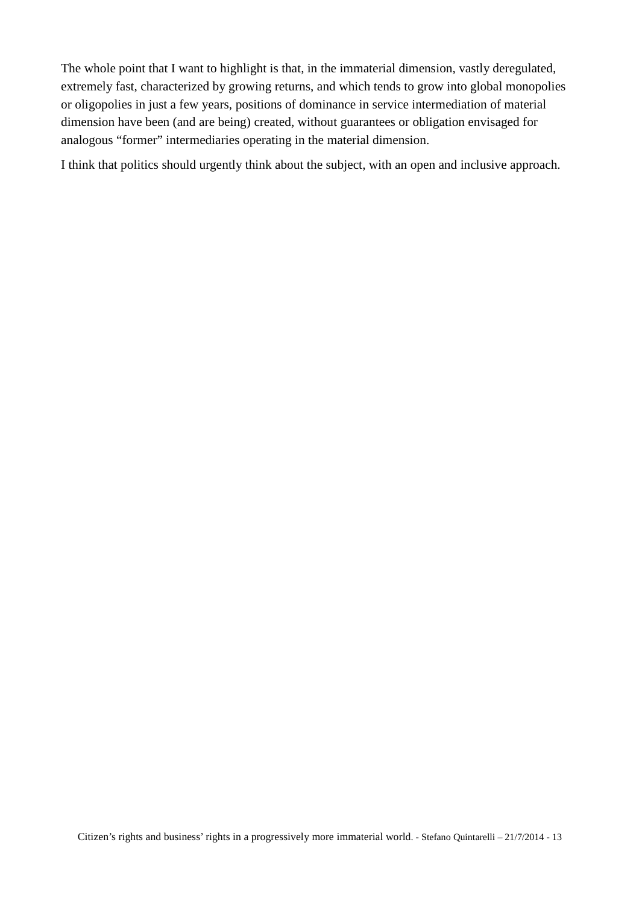The whole point that I want to highlight is that, in the immaterial dimension, vastly deregulated, extremely fast, characterized by growing returns, and which tends to grow into global monopolies or oligopolies in just a few years, positions of dominance in service intermediation of material dimension have been (and are being) created, without guarantees or obligation envisaged for analogous "former" intermediaries operating in the material dimension.

I think that politics should urgently think about the subject, with an open and inclusive approach.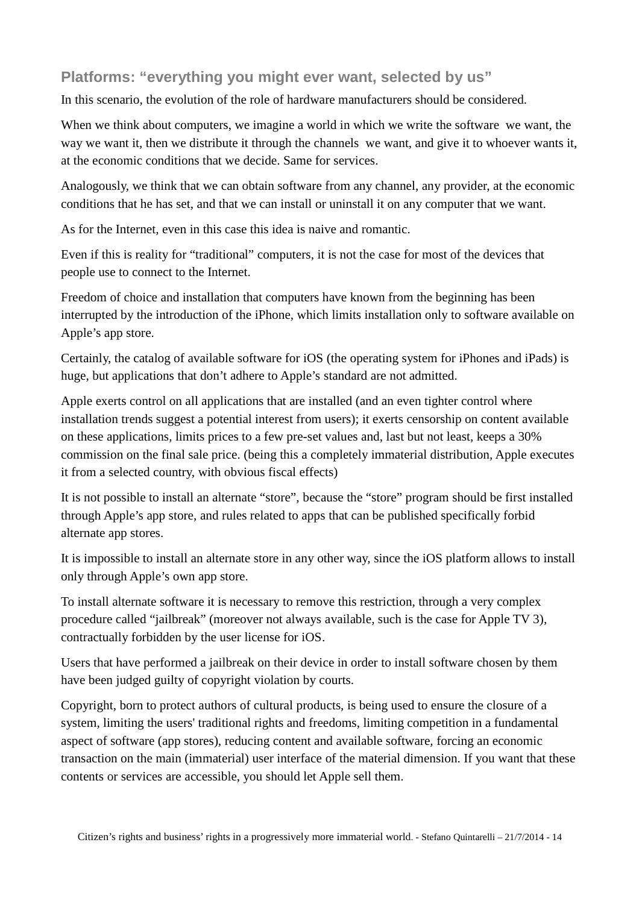### Platforms: "everything you might ever want, selected by us"

In this scenario, the evolution of the role of hardware manufacturers should be considered.

When we think about computers, we imagine a world in which we write the software we want, the way we want it, then we distribute it through the channels we want, and give it to whoever wants it, at the economic conditions that we decide. Same for services.

Analogously, we think that we can obtain software from any channel, any provider, at the economic conditions that he has set, and that we can install or uninstall it on any computer that we want.

As for the Internet, even in this case this idea is naive and romantic.

Even if this is reality for "traditional" computers, it is not the case for most of the devices that people use to connect to the Internet.

Freedom of choice and installation that computers have known from the beginning has been interrupted by the introduction of the iPhone, which limits installation only to software available on Apple's app store.

Certainly, the catalog of available software for iOS (the operating system for iPhones and iPads) is huge, but applications that don't adhere to Apple's standard are not admitted.

Apple exerts control on all applications that are installed (and an even tighter control where installation trends suggest a potential interest from users); it exerts censorship on content available on these applications, limits prices to a few pre-set values and, last but not least, keeps a 30% commission on the final sale price. (being this a completely immaterial distribution, Apple executes it from a selected country, with obvious fiscal effects)

It is not possible to install an alternate "store", because the "store" program should be first installed through Apple's app store, and rules related to apps that can be published specifically forbid alternate app stores.

It is impossible to install an alternate store in any other way, since the iOS platform allows to install only through Apple's own app store.

To install alternate software it is necessary to remove this restriction, through a very complex procedure called "jailbreak" (moreover not always available, such is the case for Apple TV 3), contractually forbidden by the user license for iOS.

Users that have performed a jailbreak on their device in order to install software chosen by them have been judged guilty of copyright violation by courts.

Copyright, born to protect authors of cultural products, is being used to ensure the closure of a system, limiting the users' traditional rights and freedoms, limiting competition in a fundamental aspect of software (app stores), reducing content and available software, forcing an economic transaction on the main (immaterial) user interface of the material dimension. If you want that these contents or services are accessible, you should let Apple sell them.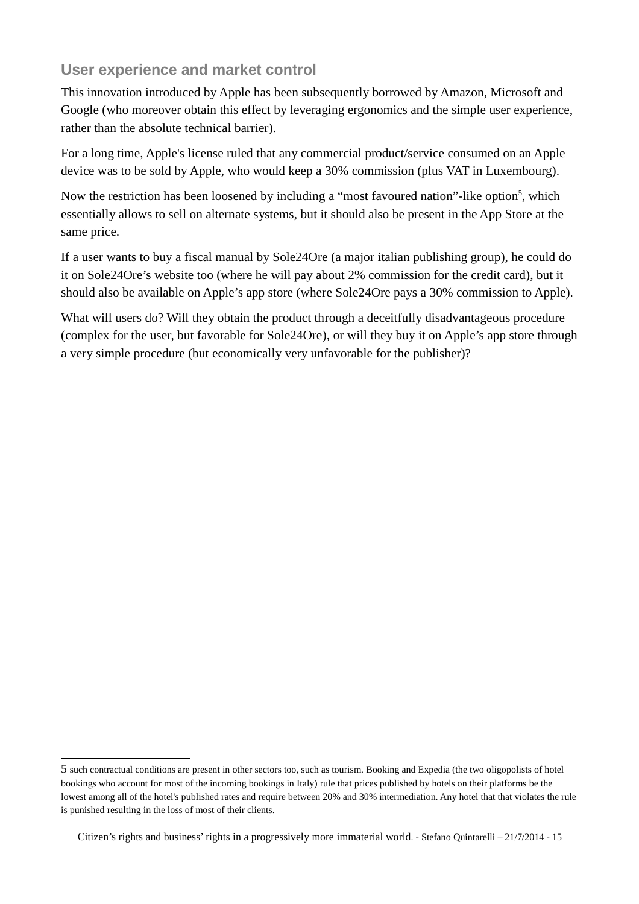### User experience and market control

This innovation introduced by Apple has been subsequently borrowed by Amazon, Microsoft and Google (who moreover obtain this effect by leveraging ergonomics and the simple user experience, rather than the absolute technical barrier).

For a long time, Apple's license ruled that any commercial product/service consumed on an Apple device was to be sold by Apple, who would keep a 30% commission (plus VAT in Luxembourg).

Now the restriction has been loosened by including a "most favoured nation"-like option<sup>5</sup>, which essentially allows to sell on alternate systems, but it should also be present in the App Store at the same price.

If a user wants to buy a fiscal manual by Sole24Ore (a major italian publishing group), he could do it on Sole24Ore's website too (where he will pay about 2% commission for the credit card), but it should also be available on Apple's app store (where Sole24Ore pays a 30% commission to Apple).

What will users do? Will they obtain the product through a deceitfully disadvantageous procedure (complex for the user, but favorable for Sole24Ore), or will they buy it on Apple's app store through a very simple procedure (but economically very unfavorable for the publisher)?

<sup>5</sup> such contractual conditions are present in other sectors too, such as tourism. Booking and Expedia (the two oligopolists of hotel bookings who account for most of the incoming bookings in Italy) rule that prices published by hotels on their platforms be the lowest among all of the hotel's published rates and require between 20% and 30% intermediation. Any hotel that that violates the rule is punished resulting in the loss of most of their clients.

Citizen's rights and business' rights in a progressively more immaterial world. - Stefano Quintarelli – 21/7/2014 - 15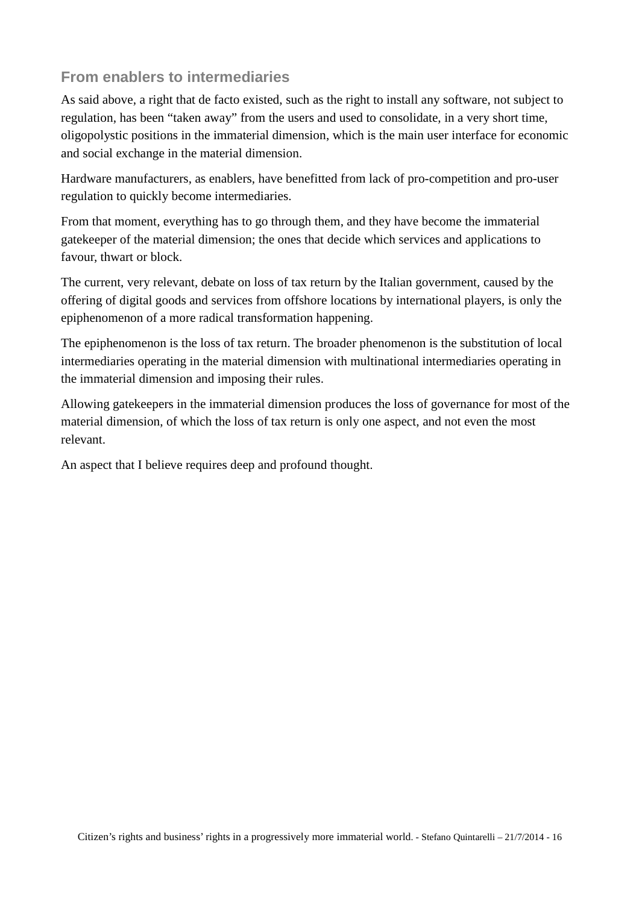### From enablers to intermediaries

As said above, a right that de facto existed, such as the right to install any software, not subject to regulation, has been "taken away" from the users and used to consolidate, in a very short time, oligopolystic positions in the immaterial dimension, which is the main user interface for economic and social exchange in the material dimension.

Hardware manufacturers, as enablers, have benefitted from lack of pro-competition and pro-user regulation to quickly become intermediaries.

From that moment, everything has to go through them, and they have become the immaterial gatekeeper of the material dimension; the ones that decide which services and applications to favour, thwart or block.

The current, very relevant, debate on loss of tax return by the Italian government, caused by the offering of digital goods and services from offshore locations by international players, is only the epiphenomenon of a more radical transformation happening.

The epiphenomenon is the loss of tax return. The broader phenomenon is the substitution of local intermediaries operating in the material dimension with multinational intermediaries operating in the immaterial dimension and imposing their rules.

Allowing gatekeepers in the immaterial dimension produces the loss of governance for most of the material dimension, of which the loss of tax return is only one aspect, and not even the most relevant.

An aspect that I believe requires deep and profound thought.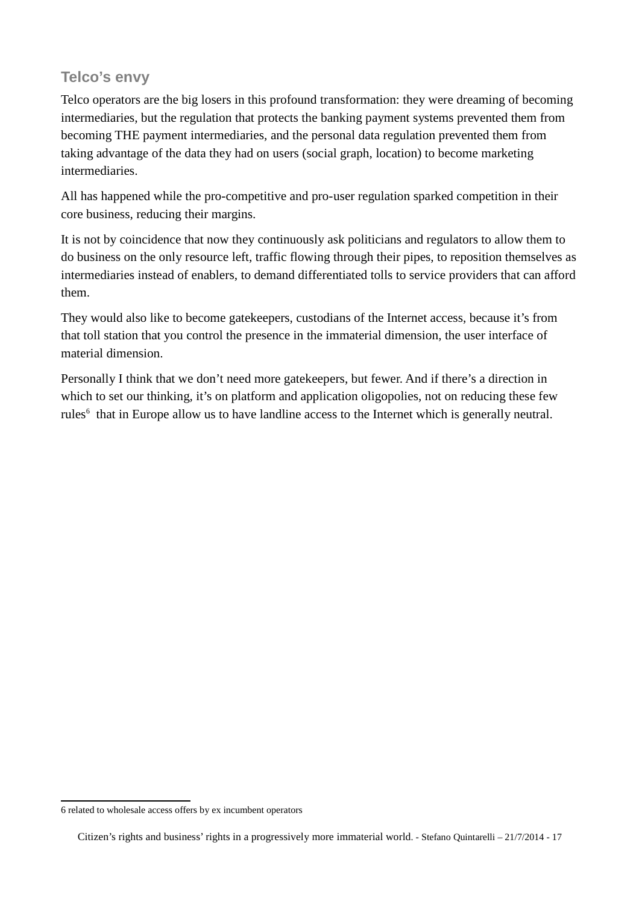### Telco's envy

Telco operators are the big losers in this profound transformation: they were dreaming of becoming intermediaries, but the regulation that protects the banking payment systems prevented them from becoming THE payment intermediaries, and the personal data regulation prevented them from taking advantage of the data they had on users (social graph, location) to become marketing intermediaries.

All has happened while the pro-competitive and pro-user regulation sparked competition in their core business, reducing their margins.

It is not by coincidence that now they continuously ask politicians and regulators to allow them to do business on the only resource left, traffic flowing through their pipes, to reposition themselves as intermediaries instead of enablers, to demand differentiated tolls to service providers that can afford them.

They would also like to become gatekeepers, custodians of the Internet access, because it's from that toll station that you control the presence in the immaterial dimension, the user interface of material dimension.

Personally I think that we don't need more gatekeepers, but fewer. And if there's a direction in which to set our thinking, it's on platform and application oligopolies, not on reducing these few rules<sup>6</sup> that in Europe allow us to have landline access to the Internet which is generally neutral.

<sup>6</sup> related to wholesale access offers by ex incumbent operators